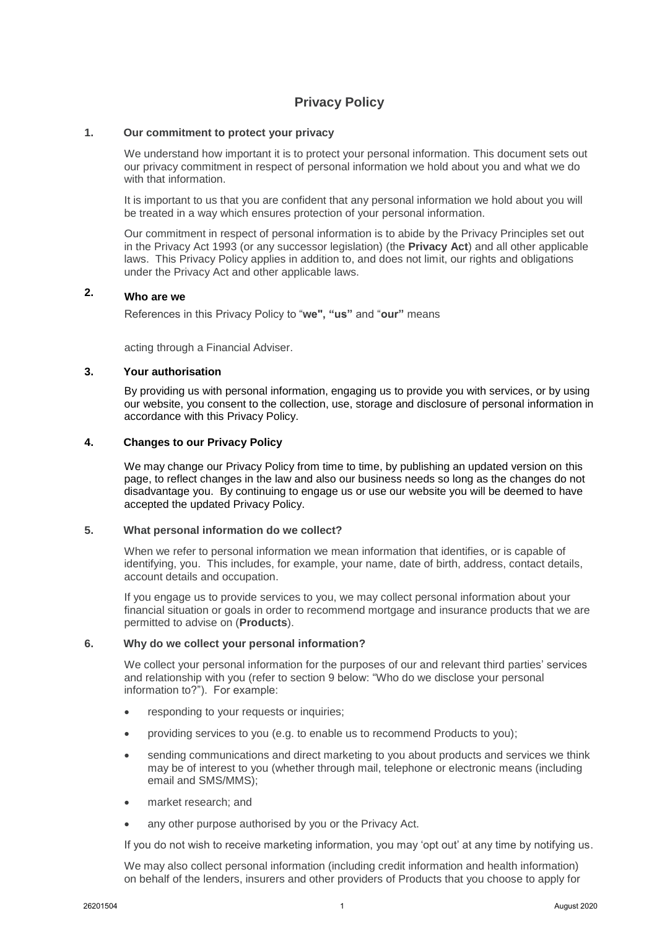# **Privacy Policy**

### **1. Our commitment to protect your privacy**

We understand how important it is to protect your personal information. This document sets out our privacy commitment in respect of personal information we hold about you and what we do with that information.

It is important to us that you are confident that any personal information we hold about you will be treated in a way which ensures protection of your personal information.

Our commitment in respect of personal information is to abide by the Privacy Principles set out in the Privacy Act 1993 (or any successor legislation) (the **Privacy Act**) and all other applicable laws. This Privacy Policy applies in addition to, and does not limit, our rights and obligations under the Privacy Act and other applicable laws.

# **2. Who are we**

References in this Privacy Policy to "**we", "us"** and "**our"** means

acting through a Financial Adviser.

#### **3. Your authorisation**

By providing us with personal information, engaging us to provide you with services, or by using our website, you consent to the collection, use, storage and disclosure of personal information in accordance with this Privacy Policy.

### **4. Changes to our Privacy Policy**

We may change our Privacy Policy from time to time, by publishing an updated version on this page, to reflect changes in the law and also our business needs so long as the changes do not disadvantage you. By continuing to engage us or use our website you will be deemed to have accepted the updated Privacy Policy.

#### **5. What personal information do we collect?**

When we refer to personal information we mean information that identifies, or is capable of identifying, you. This includes, for example, your name, date of birth, address, contact details, account details and occupation.

If you engage us to provide services to you, we may collect personal information about your financial situation or goals in order to recommend mortgage and insurance products that we are permitted to advise on (**Products**).

#### **6. Why do we collect your personal information?**

We collect your personal information for the purposes of our and relevant third parties' services and relationship with you (refer to section 9 below: "Who do we disclose your personal information to?"). For example:

- responding to your requests or inquiries;
- providing services to you (e.g. to enable us to recommend Products to you);
- sending communications and direct marketing to you about products and services we think may be of interest to you (whether through mail, telephone or electronic means (including email and SMS/MMS);
- market research; and
- any other purpose authorised by you or the Privacy Act.

If you do not wish to receive marketing information, you may 'opt out' at any time by notifying us.

We may also collect personal information (including credit information and health information) on behalf of the lenders, insurers and other providers of Products that you choose to apply for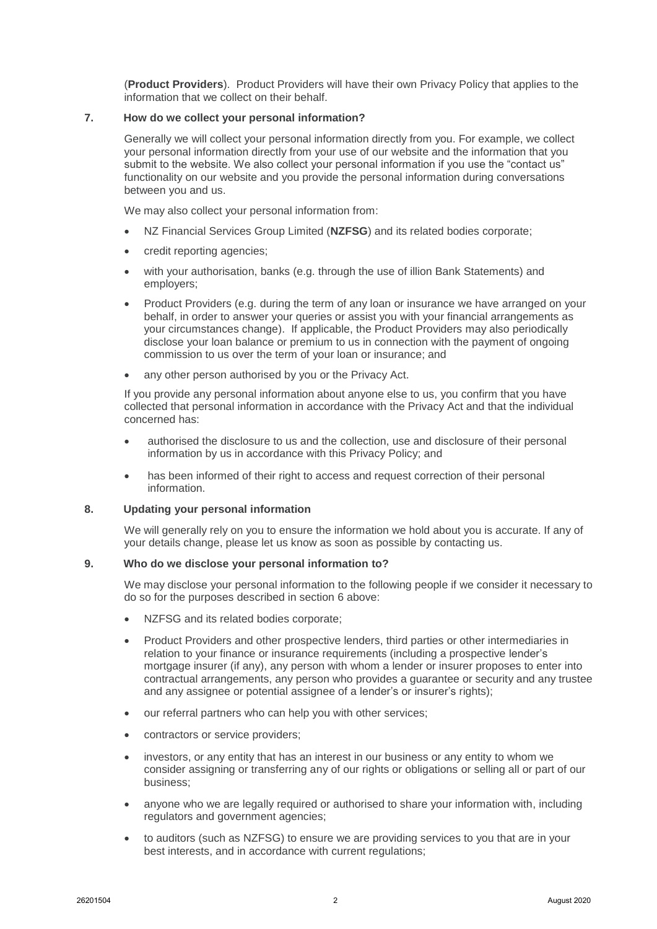(**Product Providers**). Product Providers will have their own Privacy Policy that applies to the information that we collect on their behalf.

### **7. How do we collect your personal information?**

Generally we will collect your personal information directly from you. For example, we collect your personal information directly from your use of our website and the information that you submit to the website. We also collect your personal information if you use the "contact us" functionality on our website and you provide the personal information during conversations between you and us.

We may also collect your personal information from:

- NZ Financial Services Group Limited (**NZFSG**) and its related bodies corporate;
- credit reporting agencies;
- with your authorisation, banks (e.g. through the use of illion Bank Statements) and employers;
- Product Providers (e.g. during the term of any loan or insurance we have arranged on your behalf, in order to answer your queries or assist you with your financial arrangements as your circumstances change). If applicable, the Product Providers may also periodically disclose your loan balance or premium to us in connection with the payment of ongoing commission to us over the term of your loan or insurance; and
- any other person authorised by you or the Privacy Act.

If you provide any personal information about anyone else to us, you confirm that you have collected that personal information in accordance with the Privacy Act and that the individual concerned has:

- authorised the disclosure to us and the collection, use and disclosure of their personal information by us in accordance with this Privacy Policy; and
- has been informed of their right to access and request correction of their personal information.

#### **8. Updating your personal information**

We will generally rely on you to ensure the information we hold about you is accurate. If any of your details change, please let us know as soon as possible by contacting us.

## **9. Who do we disclose your personal information to?**

We may disclose your personal information to the following people if we consider it necessary to do so for the purposes described in section 6 above:

- NZFSG and its related bodies corporate;
- Product Providers and other prospective lenders, third parties or other intermediaries in relation to your finance or insurance requirements (including a prospective lender's mortgage insurer (if any), any person with whom a lender or insurer proposes to enter into contractual arrangements, any person who provides a guarantee or security and any trustee and any assignee or potential assignee of a lender's or insurer's rights);
- our referral partners who can help you with other services;
- contractors or service providers;
- investors, or any entity that has an interest in our business or any entity to whom we consider assigning or transferring any of our rights or obligations or selling all or part of our business;
- anyone who we are legally required or authorised to share your information with, including regulators and government agencies;
- to auditors (such as NZFSG) to ensure we are providing services to you that are in your best interests, and in accordance with current regulations;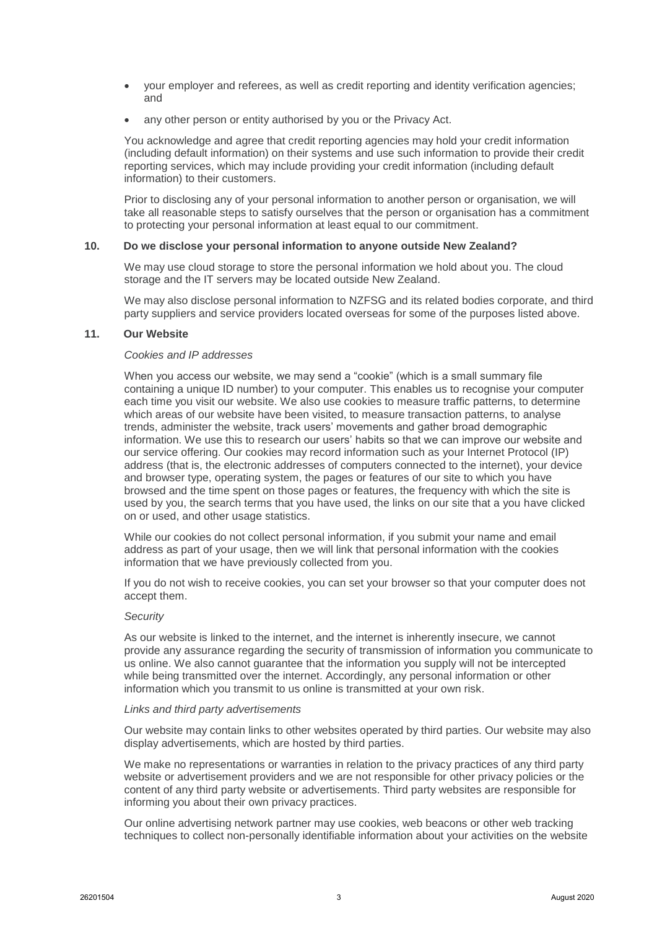- your employer and referees, as well as credit reporting and identity verification agencies; and
- any other person or entity authorised by you or the Privacy Act.

You acknowledge and agree that credit reporting agencies may hold your credit information (including default information) on their systems and use such information to provide their credit reporting services, which may include providing your credit information (including default information) to their customers.

Prior to disclosing any of your personal information to another person or organisation, we will take all reasonable steps to satisfy ourselves that the person or organisation has a commitment to protecting your personal information at least equal to our commitment.

## **10. Do we disclose your personal information to anyone outside New Zealand?**

We may use cloud storage to store the personal information we hold about you. The cloud storage and the IT servers may be located outside New Zealand.

We may also disclose personal information to NZFSG and its related bodies corporate, and third party suppliers and service providers located overseas for some of the purposes listed above.

#### **11. Our Website**

## *Cookies and IP addresses*

When you access our website, we may send a "cookie" (which is a small summary file containing a unique ID number) to your computer. This enables us to recognise your computer each time you visit our website. We also use cookies to measure traffic patterns, to determine which areas of our website have been visited, to measure transaction patterns, to analyse trends, administer the website, track users' movements and gather broad demographic information. We use this to research our users' habits so that we can improve our website and our service offering. Our cookies may record information such as your Internet Protocol (IP) address (that is, the electronic addresses of computers connected to the internet), your device and browser type, operating system, the pages or features of our site to which you have browsed and the time spent on those pages or features, the frequency with which the site is used by you, the search terms that you have used, the links on our site that a you have clicked on or used, and other usage statistics.

While our cookies do not collect personal information, if you submit your name and email address as part of your usage, then we will link that personal information with the cookies information that we have previously collected from you.

If you do not wish to receive cookies, you can set your browser so that your computer does not accept them.

#### *Security*

As our website is linked to the internet, and the internet is inherently insecure, we cannot provide any assurance regarding the security of transmission of information you communicate to us online. We also cannot guarantee that the information you supply will not be intercepted while being transmitted over the internet. Accordingly, any personal information or other information which you transmit to us online is transmitted at your own risk.

#### *Links and third party advertisements*

Our website may contain links to other websites operated by third parties. Our website may also display advertisements, which are hosted by third parties.

We make no representations or warranties in relation to the privacy practices of any third party website or advertisement providers and we are not responsible for other privacy policies or the content of any third party website or advertisements. Third party websites are responsible for informing you about their own privacy practices.

Our online advertising network partner may use cookies, web beacons or other web tracking techniques to collect non-personally identifiable information about your activities on the website